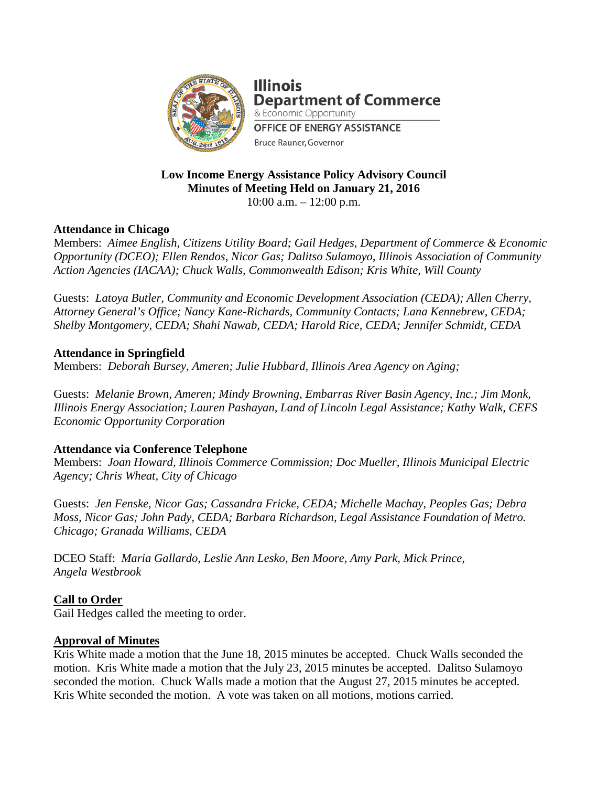

**Illinois Department of Commerce** & Economic Opportunity **OFFICE OF ENERGY ASSISTANCE** Bruce Rauner, Governor

# **Low Income Energy Assistance Policy Advisory Council Minutes of Meeting Held on January 21, 2016** 10:00 a.m. – 12:00 p.m.

# **Attendance in Chicago**

Members: *Aimee English, Citizens Utility Board; Gail Hedges, Department of Commerce & Economic Opportunity (DCEO); Ellen Rendos, Nicor Gas; Dalitso Sulamoyo, Illinois Association of Community Action Agencies (IACAA); Chuck Walls, Commonwealth Edison; Kris White, Will County*

Guests: *Latoya Butler, Community and Economic Development Association (CEDA); Allen Cherry, Attorney General's Office; Nancy Kane-Richards, Community Contacts; Lana Kennebrew, CEDA; Shelby Montgomery, CEDA; Shahi Nawab, CEDA; Harold Rice, CEDA; Jennifer Schmidt, CEDA*

# **Attendance in Springfield**

Members: *Deborah Bursey, Ameren; Julie Hubbard, Illinois Area Agency on Aging;*

Guests: *Melanie Brown, Ameren; Mindy Browning, Embarras River Basin Agency, Inc.; Jim Monk, Illinois Energy Association; Lauren Pashayan, Land of Lincoln Legal Assistance; Kathy Walk, CEFS Economic Opportunity Corporation*

# **Attendance via Conference Telephone**

Members: *Joan Howard, Illinois Commerce Commission; Doc Mueller, Illinois Municipal Electric Agency; Chris Wheat, City of Chicago*

Guests: *Jen Fenske, Nicor Gas; Cassandra Fricke, CEDA; Michelle Machay, Peoples Gas; Debra Moss, Nicor Gas; John Pady, CEDA; Barbara Richardson, Legal Assistance Foundation of Metro. Chicago; Granada Williams, CEDA*

DCEO Staff: *Maria Gallardo, Leslie Ann Lesko*, *Ben Moore, Amy Park, Mick Prince, Angela Westbrook*

### **Call to Order**

Gail Hedges called the meeting to order.

### **Approval of Minutes**

Kris White made a motion that the June 18, 2015 minutes be accepted. Chuck Walls seconded the motion. Kris White made a motion that the July 23, 2015 minutes be accepted. Dalitso Sulamoyo seconded the motion. Chuck Walls made a motion that the August 27, 2015 minutes be accepted. Kris White seconded the motion. A vote was taken on all motions, motions carried.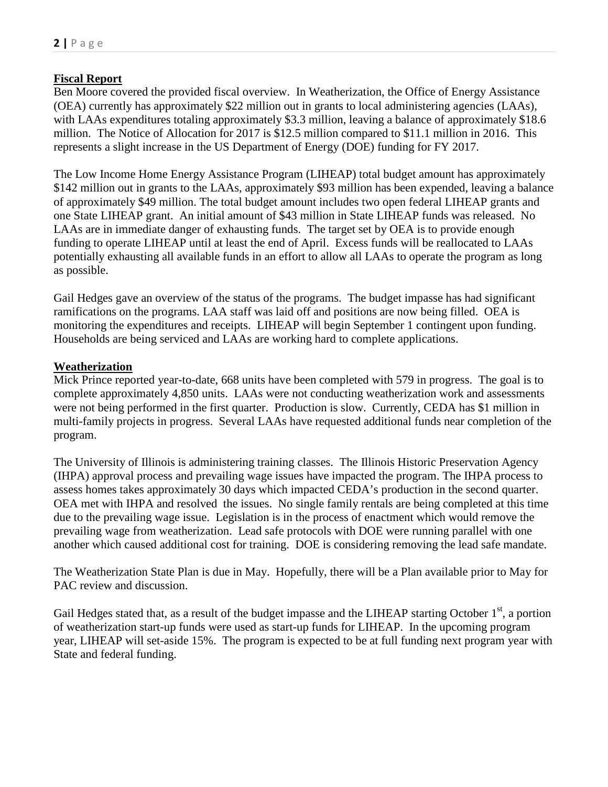## **Fiscal Report**

Ben Moore covered the provided fiscal overview. In Weatherization, the Office of Energy Assistance (OEA) currently has approximately \$22 million out in grants to local administering agencies (LAAs), with LAAs expenditures totaling approximately \$3.3 million, leaving a balance of approximately \$18.6 million. The Notice of Allocation for 2017 is \$12.5 million compared to \$11.1 million in 2016. This represents a slight increase in the US Department of Energy (DOE) funding for FY 2017.

The Low Income Home Energy Assistance Program (LIHEAP) total budget amount has approximately \$142 million out in grants to the LAAs, approximately \$93 million has been expended, leaving a balance of approximately \$49 million. The total budget amount includes two open federal LIHEAP grants and one State LIHEAP grant. An initial amount of \$43 million in State LIHEAP funds was released. No LAAs are in immediate danger of exhausting funds. The target set by OEA is to provide enough funding to operate LIHEAP until at least the end of April. Excess funds will be reallocated to LAAs potentially exhausting all available funds in an effort to allow all LAAs to operate the program as long as possible.

Gail Hedges gave an overview of the status of the programs. The budget impasse has had significant ramifications on the programs. LAA staff was laid off and positions are now being filled. OEA is monitoring the expenditures and receipts. LIHEAP will begin September 1 contingent upon funding. Households are being serviced and LAAs are working hard to complete applications.

### **Weatherization**

Mick Prince reported year-to-date, 668 units have been completed with 579 in progress. The goal is to complete approximately 4,850 units. LAAs were not conducting weatherization work and assessments were not being performed in the first quarter. Production is slow. Currently, CEDA has \$1 million in multi-family projects in progress. Several LAAs have requested additional funds near completion of the program.

The University of Illinois is administering training classes. The Illinois Historic Preservation Agency (IHPA) approval process and prevailing wage issues have impacted the program. The IHPA process to assess homes takes approximately 30 days which impacted CEDA's production in the second quarter. OEA met with IHPA and resolved the issues. No single family rentals are being completed at this time due to the prevailing wage issue. Legislation is in the process of enactment which would remove the prevailing wage from weatherization. Lead safe protocols with DOE were running parallel with one another which caused additional cost for training. DOE is considering removing the lead safe mandate.

The Weatherization State Plan is due in May. Hopefully, there will be a Plan available prior to May for PAC review and discussion.

Gail Hedges stated that, as a result of the budget impasse and the LIHEAP starting October  $1<sup>st</sup>$ , a portion of weatherization start-up funds were used as start-up funds for LIHEAP. In the upcoming program year, LIHEAP will set-aside 15%. The program is expected to be at full funding next program year with State and federal funding.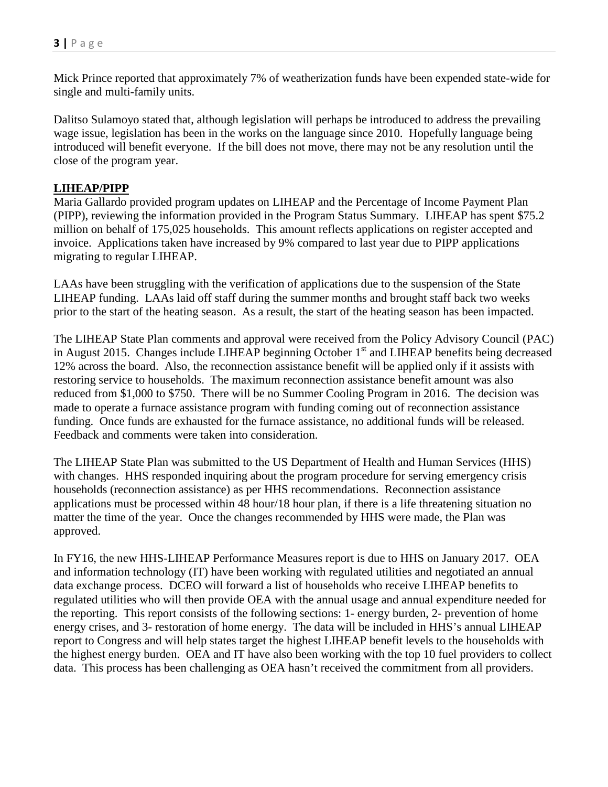Mick Prince reported that approximately 7% of weatherization funds have been expended state-wide for single and multi-family units.

Dalitso Sulamoyo stated that, although legislation will perhaps be introduced to address the prevailing wage issue, legislation has been in the works on the language since 2010. Hopefully language being introduced will benefit everyone. If the bill does not move, there may not be any resolution until the close of the program year.

### **LIHEAP/PIPP**

Maria Gallardo provided program updates on LIHEAP and the Percentage of Income Payment Plan (PIPP), reviewing the information provided in the Program Status Summary. LIHEAP has spent \$75.2 million on behalf of 175,025 households. This amount reflects applications on register accepted and invoice. Applications taken have increased by 9% compared to last year due to PIPP applications migrating to regular LIHEAP.

LAAs have been struggling with the verification of applications due to the suspension of the State LIHEAP funding. LAAs laid off staff during the summer months and brought staff back two weeks prior to the start of the heating season. As a result, the start of the heating season has been impacted.

The LIHEAP State Plan comments and approval were received from the Policy Advisory Council (PAC) in August 2015. Changes include LIHEAP beginning October 1<sup>st</sup> and LIHEAP benefits being decreased 12% across the board. Also, the reconnection assistance benefit will be applied only if it assists with restoring service to households. The maximum reconnection assistance benefit amount was also reduced from \$1,000 to \$750. There will be no Summer Cooling Program in 2016. The decision was made to operate a furnace assistance program with funding coming out of reconnection assistance funding. Once funds are exhausted for the furnace assistance, no additional funds will be released. Feedback and comments were taken into consideration.

The LIHEAP State Plan was submitted to the US Department of Health and Human Services (HHS) with changes. HHS responded inquiring about the program procedure for serving emergency crisis households (reconnection assistance) as per HHS recommendations. Reconnection assistance applications must be processed within 48 hour/18 hour plan, if there is a life threatening situation no matter the time of the year. Once the changes recommended by HHS were made, the Plan was approved.

In FY16, the new HHS-LIHEAP Performance Measures report is due to HHS on January 2017. OEA and information technology (IT) have been working with regulated utilities and negotiated an annual data exchange process. DCEO will forward a list of households who receive LIHEAP benefits to regulated utilities who will then provide OEA with the annual usage and annual expenditure needed for the reporting. This report consists of the following sections: 1- energy burden, 2- prevention of home energy crises, and 3- restoration of home energy. The data will be included in HHS's annual LIHEAP report to Congress and will help states target the highest LIHEAP benefit levels to the households with the highest energy burden. OEA and IT have also been working with the top 10 fuel providers to collect data. This process has been challenging as OEA hasn't received the commitment from all providers.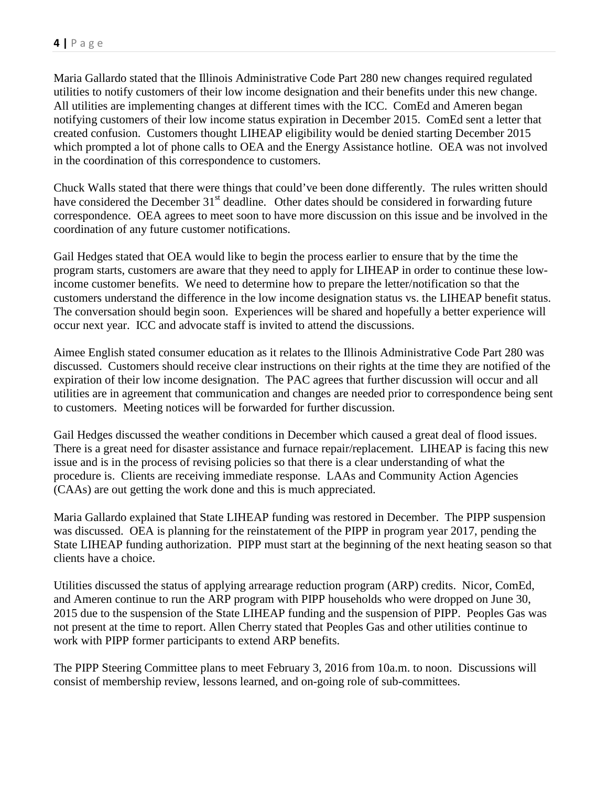Maria Gallardo stated that the Illinois Administrative Code Part 280 new changes required regulated utilities to notify customers of their low income designation and their benefits under this new change. All utilities are implementing changes at different times with the ICC. ComEd and Ameren began notifying customers of their low income status expiration in December 2015. ComEd sent a letter that created confusion. Customers thought LIHEAP eligibility would be denied starting December 2015 which prompted a lot of phone calls to OEA and the Energy Assistance hotline. OEA was not involved in the coordination of this correspondence to customers.

Chuck Walls stated that there were things that could've been done differently. The rules written should have considered the December 31<sup>st</sup> deadline. Other dates should be considered in forwarding future correspondence. OEA agrees to meet soon to have more discussion on this issue and be involved in the coordination of any future customer notifications.

Gail Hedges stated that OEA would like to begin the process earlier to ensure that by the time the program starts, customers are aware that they need to apply for LIHEAP in order to continue these lowincome customer benefits. We need to determine how to prepare the letter/notification so that the customers understand the difference in the low income designation status vs. the LIHEAP benefit status. The conversation should begin soon. Experiences will be shared and hopefully a better experience will occur next year. ICC and advocate staff is invited to attend the discussions.

Aimee English stated consumer education as it relates to the Illinois Administrative Code Part 280 was discussed. Customers should receive clear instructions on their rights at the time they are notified of the expiration of their low income designation. The PAC agrees that further discussion will occur and all utilities are in agreement that communication and changes are needed prior to correspondence being sent to customers. Meeting notices will be forwarded for further discussion.

Gail Hedges discussed the weather conditions in December which caused a great deal of flood issues. There is a great need for disaster assistance and furnace repair/replacement. LIHEAP is facing this new issue and is in the process of revising policies so that there is a clear understanding of what the procedure is. Clients are receiving immediate response. LAAs and Community Action Agencies (CAAs) are out getting the work done and this is much appreciated.

Maria Gallardo explained that State LIHEAP funding was restored in December. The PIPP suspension was discussed. OEA is planning for the reinstatement of the PIPP in program year 2017, pending the State LIHEAP funding authorization. PIPP must start at the beginning of the next heating season so that clients have a choice.

Utilities discussed the status of applying arrearage reduction program (ARP) credits. Nicor, ComEd, and Ameren continue to run the ARP program with PIPP households who were dropped on June 30, 2015 due to the suspension of the State LIHEAP funding and the suspension of PIPP. Peoples Gas was not present at the time to report. Allen Cherry stated that Peoples Gas and other utilities continue to work with PIPP former participants to extend ARP benefits.

The PIPP Steering Committee plans to meet February 3, 2016 from 10a.m. to noon. Discussions will consist of membership review, lessons learned, and on-going role of sub-committees.